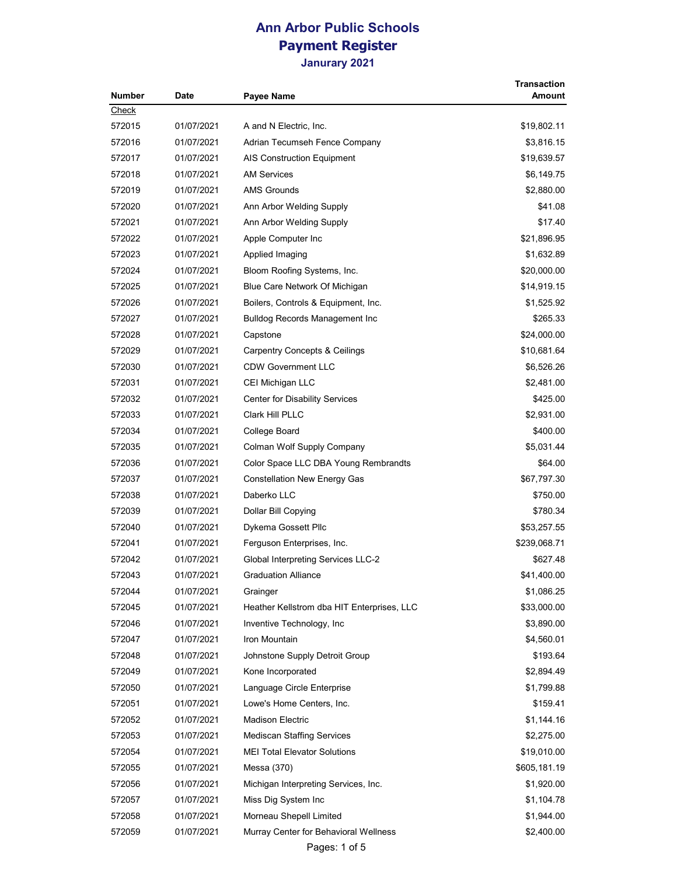| Number | Date       | Payee Name                                 | <b>Transaction</b><br>Amount |
|--------|------------|--------------------------------------------|------------------------------|
| Check  |            |                                            |                              |
| 572015 | 01/07/2021 | A and N Electric, Inc.                     | \$19,802.11                  |
| 572016 | 01/07/2021 | Adrian Tecumseh Fence Company              | \$3,816.15                   |
| 572017 | 01/07/2021 | <b>AIS Construction Equipment</b>          | \$19,639.57                  |
| 572018 | 01/07/2021 | AM Services                                | \$6,149.75                   |
| 572019 | 01/07/2021 | <b>AMS Grounds</b>                         | \$2,880.00                   |
| 572020 | 01/07/2021 | Ann Arbor Welding Supply                   | \$41.08                      |
| 572021 | 01/07/2021 | Ann Arbor Welding Supply                   | \$17.40                      |
| 572022 | 01/07/2021 | Apple Computer Inc                         | \$21,896.95                  |
| 572023 | 01/07/2021 | Applied Imaging                            | \$1,632.89                   |
| 572024 | 01/07/2021 | Bloom Roofing Systems, Inc.                | \$20,000.00                  |
| 572025 | 01/07/2021 | Blue Care Network Of Michigan              | \$14,919.15                  |
| 572026 | 01/07/2021 | Boilers, Controls & Equipment, Inc.        | \$1,525.92                   |
| 572027 | 01/07/2021 | Bulldog Records Management Inc             | \$265.33                     |
| 572028 | 01/07/2021 | Capstone                                   | \$24,000.00                  |
| 572029 | 01/07/2021 | <b>Carpentry Concepts &amp; Ceilings</b>   | \$10,681.64                  |
| 572030 | 01/07/2021 | <b>CDW Government LLC</b>                  | \$6,526.26                   |
| 572031 | 01/07/2021 | CEI Michigan LLC                           | \$2,481.00                   |
| 572032 | 01/07/2021 | <b>Center for Disability Services</b>      | \$425.00                     |
| 572033 | 01/07/2021 | Clark Hill PLLC                            | \$2,931.00                   |
| 572034 | 01/07/2021 | College Board                              | \$400.00                     |
| 572035 | 01/07/2021 | Colman Wolf Supply Company                 | \$5,031.44                   |
| 572036 | 01/07/2021 | Color Space LLC DBA Young Rembrandts       | \$64.00                      |
| 572037 | 01/07/2021 | <b>Constellation New Energy Gas</b>        | \$67,797.30                  |
| 572038 | 01/07/2021 | Daberko LLC                                | \$750.00                     |
| 572039 | 01/07/2021 | Dollar Bill Copying                        | \$780.34                     |
| 572040 | 01/07/2021 | Dykema Gossett Pllc                        | \$53,257.55                  |
| 572041 | 01/07/2021 | Ferguson Enterprises, Inc.                 | \$239,068.71                 |
| 572042 | 01/07/2021 | Global Interpreting Services LLC-2         | \$627.48                     |
| 572043 | 01/07/2021 | <b>Graduation Alliance</b>                 | \$41,400.00                  |
| 572044 | 01/07/2021 | Grainger                                   | \$1,086.25                   |
| 572045 | 01/07/2021 | Heather Kellstrom dba HIT Enterprises, LLC | \$33,000.00                  |
| 572046 | 01/07/2021 | Inventive Technology, Inc.                 | \$3,890.00                   |
| 572047 | 01/07/2021 | Iron Mountain                              | \$4,560.01                   |
| 572048 | 01/07/2021 | Johnstone Supply Detroit Group             | \$193.64                     |
| 572049 | 01/07/2021 | Kone Incorporated                          | \$2,894.49                   |
| 572050 | 01/07/2021 | Language Circle Enterprise                 | \$1,799.88                   |
| 572051 | 01/07/2021 | Lowe's Home Centers, Inc.                  | \$159.41                     |
| 572052 | 01/07/2021 | <b>Madison Electric</b>                    | \$1,144.16                   |
| 572053 | 01/07/2021 | <b>Mediscan Staffing Services</b>          | \$2,275.00                   |
| 572054 | 01/07/2021 | <b>MEI Total Elevator Solutions</b>        | \$19,010.00                  |
| 572055 | 01/07/2021 | Messa (370)                                | \$605,181.19                 |
| 572056 | 01/07/2021 | Michigan Interpreting Services, Inc.       | \$1,920.00                   |
| 572057 | 01/07/2021 | Miss Dig System Inc                        | \$1,104.78                   |
| 572058 | 01/07/2021 | Morneau Shepell Limited                    | \$1,944.00                   |
| 572059 | 01/07/2021 | Murray Center for Behavioral Wellness      | \$2,400.00                   |

Pages: 1 of 5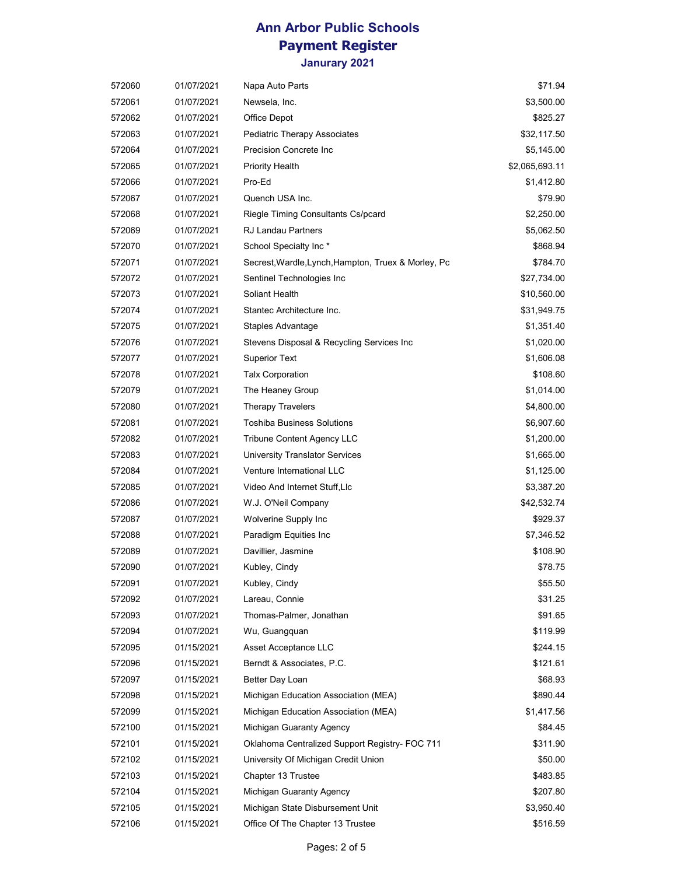**Janurary 2021**

| 572060 | 01/07/2021 | Napa Auto Parts                                     | \$71.94        |
|--------|------------|-----------------------------------------------------|----------------|
| 572061 | 01/07/2021 | Newsela, Inc.                                       | \$3,500.00     |
| 572062 | 01/07/2021 | Office Depot                                        | \$825.27       |
| 572063 | 01/07/2021 | <b>Pediatric Therapy Associates</b>                 | \$32,117.50    |
| 572064 | 01/07/2021 | Precision Concrete Inc                              | \$5,145.00     |
| 572065 | 01/07/2021 | <b>Priority Health</b>                              | \$2,065,693.11 |
| 572066 | 01/07/2021 | Pro-Ed                                              | \$1,412.80     |
| 572067 | 01/07/2021 | Quench USA Inc.                                     | \$79.90        |
| 572068 | 01/07/2021 | Riegle Timing Consultants Cs/pcard                  | \$2,250.00     |
| 572069 | 01/07/2021 | <b>RJ Landau Partners</b>                           | \$5,062.50     |
| 572070 | 01/07/2021 | School Specialty Inc*                               | \$868.94       |
| 572071 | 01/07/2021 | Secrest, Wardle, Lynch, Hampton, Truex & Morley, Pc | \$784.70       |
| 572072 | 01/07/2021 | Sentinel Technologies Inc                           | \$27,734.00    |
| 572073 | 01/07/2021 | Soliant Health                                      | \$10,560.00    |
| 572074 | 01/07/2021 | Stantec Architecture Inc.                           | \$31,949.75    |
| 572075 | 01/07/2021 | Staples Advantage                                   | \$1,351.40     |
| 572076 | 01/07/2021 | Stevens Disposal & Recycling Services Inc           | \$1,020.00     |
| 572077 | 01/07/2021 | <b>Superior Text</b>                                | \$1,606.08     |
| 572078 | 01/07/2021 | <b>Talx Corporation</b>                             | \$108.60       |
| 572079 | 01/07/2021 | The Heaney Group                                    | \$1,014.00     |
| 572080 | 01/07/2021 | Therapy Travelers                                   | \$4,800.00     |
| 572081 | 01/07/2021 | <b>Toshiba Business Solutions</b>                   | \$6,907.60     |
| 572082 | 01/07/2021 | Tribune Content Agency LLC                          | \$1,200.00     |
| 572083 | 01/07/2021 | <b>University Translator Services</b>               | \$1,665.00     |
| 572084 | 01/07/2021 | Venture International LLC                           | \$1,125.00     |
| 572085 | 01/07/2021 | Video And Internet Stuff, Llc                       | \$3,387.20     |
| 572086 | 01/07/2021 | W.J. O'Neil Company                                 | \$42,532.74    |
| 572087 | 01/07/2021 | Wolverine Supply Inc                                | \$929.37       |
| 572088 | 01/07/2021 | Paradigm Equities Inc                               | \$7,346.52     |
| 572089 | 01/07/2021 | Davillier, Jasmine                                  | \$108.90       |
| 572090 | 01/07/2021 | Kubley, Cindy                                       | \$78.75        |
| 572091 | 01/07/2021 | Kubley, Cindy                                       | \$55.50        |
| 572092 | 01/07/2021 | Lareau, Connie                                      | \$31.25        |
| 572093 | 01/07/2021 | Thomas-Palmer, Jonathan                             | \$91.65        |
| 572094 | 01/07/2021 | Wu, Guangquan                                       | \$119.99       |
| 572095 | 01/15/2021 | Asset Acceptance LLC                                | \$244.15       |
| 572096 | 01/15/2021 | Berndt & Associates, P.C.                           | \$121.61       |
| 572097 | 01/15/2021 | Better Day Loan                                     | \$68.93        |
| 572098 | 01/15/2021 | Michigan Education Association (MEA)                | \$890.44       |
| 572099 | 01/15/2021 | Michigan Education Association (MEA)                | \$1,417.56     |
| 572100 | 01/15/2021 | Michigan Guaranty Agency                            | \$84.45        |
| 572101 | 01/15/2021 | Oklahoma Centralized Support Registry- FOC 711      | \$311.90       |
| 572102 | 01/15/2021 | University Of Michigan Credit Union                 | \$50.00        |
| 572103 | 01/15/2021 | Chapter 13 Trustee                                  | \$483.85       |
| 572104 | 01/15/2021 | Michigan Guaranty Agency                            | \$207.80       |
| 572105 | 01/15/2021 | Michigan State Disbursement Unit                    | \$3,950.40     |
| 572106 | 01/15/2021 | Office Of The Chapter 13 Trustee                    | \$516.59       |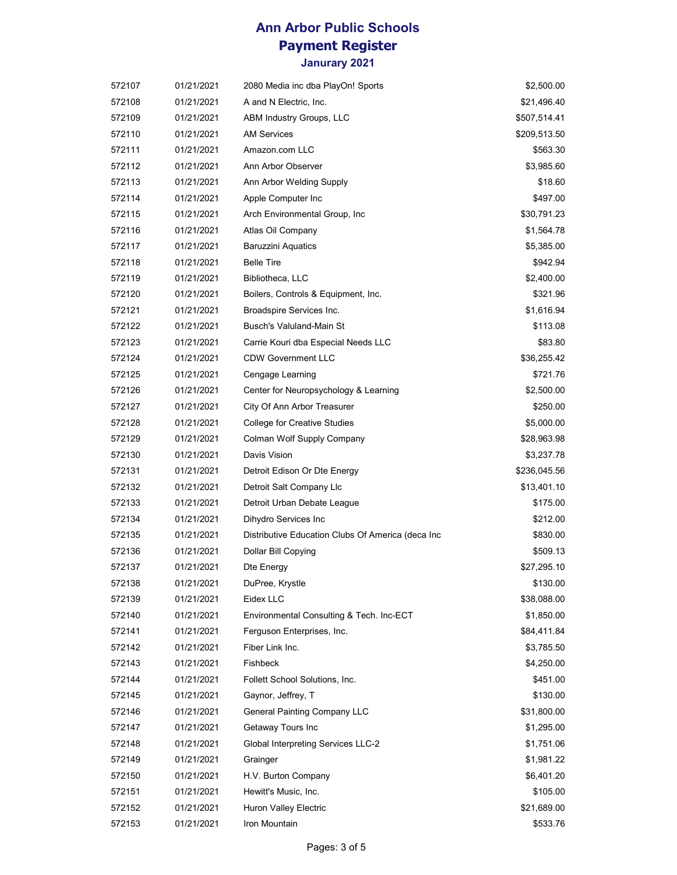| 572107 | 01/21/2021 | 2080 Media inc dba PlayOn! Sports                 | \$2,500.00   |
|--------|------------|---------------------------------------------------|--------------|
| 572108 | 01/21/2021 | A and N Electric, Inc.                            | \$21,496.40  |
| 572109 | 01/21/2021 | ABM Industry Groups, LLC                          | \$507,514.41 |
| 572110 | 01/21/2021 | <b>AM Services</b>                                | \$209,513.50 |
| 572111 | 01/21/2021 | Amazon.com LLC                                    | \$563.30     |
| 572112 | 01/21/2021 | Ann Arbor Observer                                | \$3,985.60   |
| 572113 | 01/21/2021 | Ann Arbor Welding Supply                          | \$18.60      |
| 572114 | 01/21/2021 | Apple Computer Inc                                | \$497.00     |
| 572115 | 01/21/2021 | Arch Environmental Group, Inc.                    | \$30,791.23  |
| 572116 | 01/21/2021 | Atlas Oil Company                                 | \$1,564.78   |
| 572117 | 01/21/2021 | <b>Baruzzini Aquatics</b>                         | \$5,385.00   |
| 572118 | 01/21/2021 | <b>Belle Tire</b>                                 | \$942.94     |
| 572119 | 01/21/2021 | Bibliotheca, LLC                                  | \$2,400.00   |
| 572120 | 01/21/2021 | Boilers, Controls & Equipment, Inc.               | \$321.96     |
| 572121 | 01/21/2021 | Broadspire Services Inc.                          | \$1,616.94   |
| 572122 | 01/21/2021 | Busch's Valuland-Main St                          | \$113.08     |
| 572123 | 01/21/2021 | Carrie Kouri dba Especial Needs LLC               | \$83.80      |
| 572124 | 01/21/2021 | <b>CDW Government LLC</b>                         | \$36,255.42  |
| 572125 | 01/21/2021 | Cengage Learning                                  | \$721.76     |
| 572126 | 01/21/2021 | Center for Neuropsychology & Learning             | \$2,500.00   |
| 572127 | 01/21/2021 | City Of Ann Arbor Treasurer                       | \$250.00     |
| 572128 | 01/21/2021 | <b>College for Creative Studies</b>               | \$5,000.00   |
| 572129 | 01/21/2021 | Colman Wolf Supply Company                        | \$28,963.98  |
| 572130 | 01/21/2021 | Davis Vision                                      | \$3,237.78   |
| 572131 | 01/21/2021 | Detroit Edison Or Dte Energy                      | \$236,045.56 |
| 572132 | 01/21/2021 | Detroit Salt Company Llc                          | \$13,401.10  |
| 572133 | 01/21/2021 | Detroit Urban Debate League                       | \$175.00     |
| 572134 | 01/21/2021 | Dihydro Services Inc                              | \$212.00     |
| 572135 | 01/21/2021 | Distributive Education Clubs Of America (deca Inc | \$830.00     |
| 572136 | 01/21/2021 | Dollar Bill Copying                               | \$509.13     |
| 572137 | 01/21/2021 | Dte Energy                                        | \$27,295.10  |
| 572138 | 01/21/2021 | DuPree, Krystle                                   | \$130.00     |
| 572139 | 01/21/2021 | Eidex LLC                                         | \$38,088.00  |
| 572140 | 01/21/2021 | Environmental Consulting & Tech. Inc-ECT          | \$1,850.00   |
| 572141 | 01/21/2021 | Ferguson Enterprises, Inc.                        | \$84,411.84  |
| 572142 | 01/21/2021 | Fiber Link Inc.                                   | \$3,785.50   |
| 572143 | 01/21/2021 | Fishbeck                                          | \$4,250.00   |
| 572144 | 01/21/2021 | Follett School Solutions, Inc.                    | \$451.00     |
| 572145 | 01/21/2021 | Gaynor, Jeffrey, T                                | \$130.00     |
| 572146 | 01/21/2021 | <b>General Painting Company LLC</b>               | \$31,800.00  |
| 572147 | 01/21/2021 | Getaway Tours Inc                                 | \$1,295.00   |
| 572148 | 01/21/2021 | <b>Global Interpreting Services LLC-2</b>         | \$1,751.06   |
| 572149 | 01/21/2021 | Grainger                                          | \$1,981.22   |
| 572150 | 01/21/2021 | H.V. Burton Company                               | \$6,401.20   |
| 572151 | 01/21/2021 | Hewitt's Music, Inc.                              | \$105.00     |
| 572152 | 01/21/2021 | Huron Valley Electric                             | \$21,689.00  |
| 572153 | 01/21/2021 | Iron Mountain                                     | \$533.76     |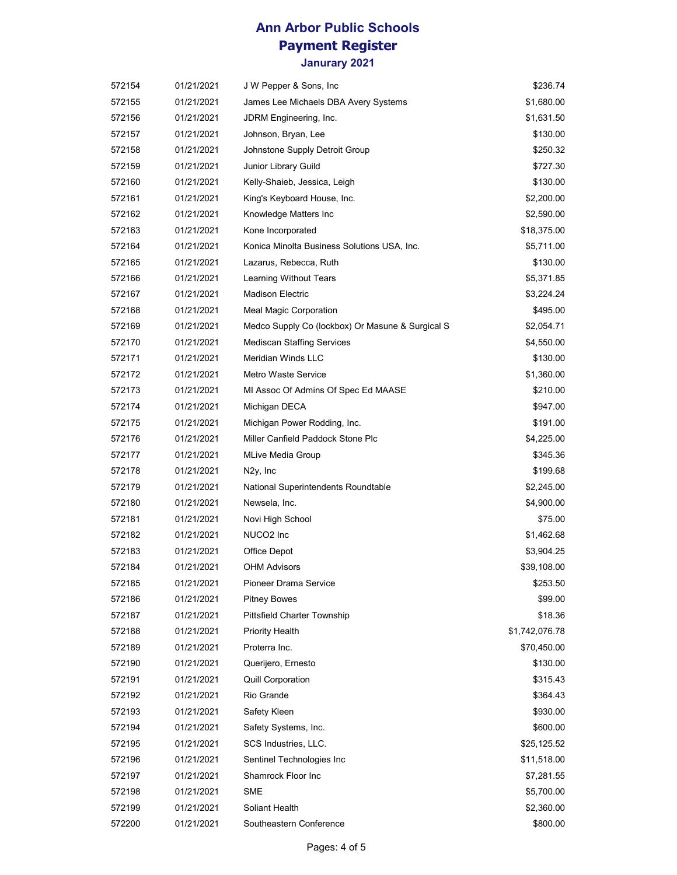| 572154 | 01/21/2021 | J W Pepper & Sons, Inc.                          | \$236.74       |
|--------|------------|--------------------------------------------------|----------------|
| 572155 | 01/21/2021 | James Lee Michaels DBA Avery Systems             | \$1,680.00     |
| 572156 | 01/21/2021 | JDRM Engineering, Inc.                           | \$1,631.50     |
| 572157 | 01/21/2021 | Johnson, Bryan, Lee                              | \$130.00       |
| 572158 | 01/21/2021 | Johnstone Supply Detroit Group                   | \$250.32       |
| 572159 | 01/21/2021 | Junior Library Guild                             | \$727.30       |
| 572160 | 01/21/2021 | Kelly-Shaieb, Jessica, Leigh                     | \$130.00       |
| 572161 | 01/21/2021 | King's Keyboard House, Inc.                      | \$2,200.00     |
| 572162 | 01/21/2021 | Knowledge Matters Inc                            | \$2,590.00     |
| 572163 | 01/21/2021 | Kone Incorporated                                | \$18,375.00    |
| 572164 | 01/21/2021 | Konica Minolta Business Solutions USA, Inc.      | \$5,711.00     |
| 572165 | 01/21/2021 | Lazarus, Rebecca, Ruth                           | \$130.00       |
| 572166 | 01/21/2021 | Learning Without Tears                           | \$5,371.85     |
| 572167 | 01/21/2021 | <b>Madison Electric</b>                          | \$3,224.24     |
| 572168 | 01/21/2021 | <b>Meal Magic Corporation</b>                    | \$495.00       |
| 572169 | 01/21/2021 | Medco Supply Co (lockbox) Or Masune & Surgical S | \$2,054.71     |
| 572170 | 01/21/2021 | <b>Mediscan Staffing Services</b>                | \$4,550.00     |
| 572171 | 01/21/2021 | Meridian Winds LLC                               | \$130.00       |
| 572172 | 01/21/2021 | <b>Metro Waste Service</b>                       | \$1,360.00     |
| 572173 | 01/21/2021 | MI Assoc Of Admins Of Spec Ed MAASE              | \$210.00       |
| 572174 | 01/21/2021 | Michigan DECA                                    | \$947.00       |
| 572175 | 01/21/2021 | Michigan Power Rodding, Inc.                     | \$191.00       |
| 572176 | 01/21/2021 | Miller Canfield Paddock Stone Plc                | \$4,225.00     |
| 572177 | 01/21/2021 | <b>MLive Media Group</b>                         | \$345.36       |
| 572178 | 01/21/2021 | N <sub>2y</sub> , Inc                            | \$199.68       |
| 572179 | 01/21/2021 | National Superintendents Roundtable              | \$2,245.00     |
| 572180 | 01/21/2021 | Newsela, Inc.                                    | \$4,900.00     |
| 572181 | 01/21/2021 | Novi High School                                 | \$75.00        |
| 572182 | 01/21/2021 | NUCO2 Inc                                        | \$1,462.68     |
| 572183 | 01/21/2021 | Office Depot                                     | \$3,904.25     |
| 572184 | 01/21/2021 | <b>OHM Advisors</b>                              | \$39,108.00    |
| 572185 | 01/21/2021 | <b>Pioneer Drama Service</b>                     | \$253.50       |
| 572186 | 01/21/2021 | <b>Pitney Bowes</b>                              | \$99.00        |
| 572187 | 01/21/2021 | <b>Pittsfield Charter Township</b>               | \$18.36        |
| 572188 | 01/21/2021 | <b>Priority Health</b>                           | \$1,742,076.78 |
| 572189 | 01/21/2021 | Proterra Inc.                                    | \$70,450.00    |
| 572190 | 01/21/2021 | Querijero, Ernesto                               | \$130.00       |
| 572191 | 01/21/2021 | <b>Quill Corporation</b>                         | \$315.43       |
| 572192 | 01/21/2021 | Rio Grande                                       | \$364.43       |
| 572193 | 01/21/2021 | Safety Kleen                                     | \$930.00       |
| 572194 | 01/21/2021 | Safety Systems, Inc.                             | \$600.00       |
| 572195 | 01/21/2021 | SCS Industries, LLC.                             | \$25,125.52    |
| 572196 | 01/21/2021 | Sentinel Technologies Inc                        | \$11,518.00    |
| 572197 | 01/21/2021 | Shamrock Floor Inc                               | \$7,281.55     |
| 572198 | 01/21/2021 | SME                                              | \$5,700.00     |
| 572199 | 01/21/2021 | Soliant Health                                   | \$2,360.00     |
| 572200 | 01/21/2021 | Southeastern Conference                          | \$800.00       |